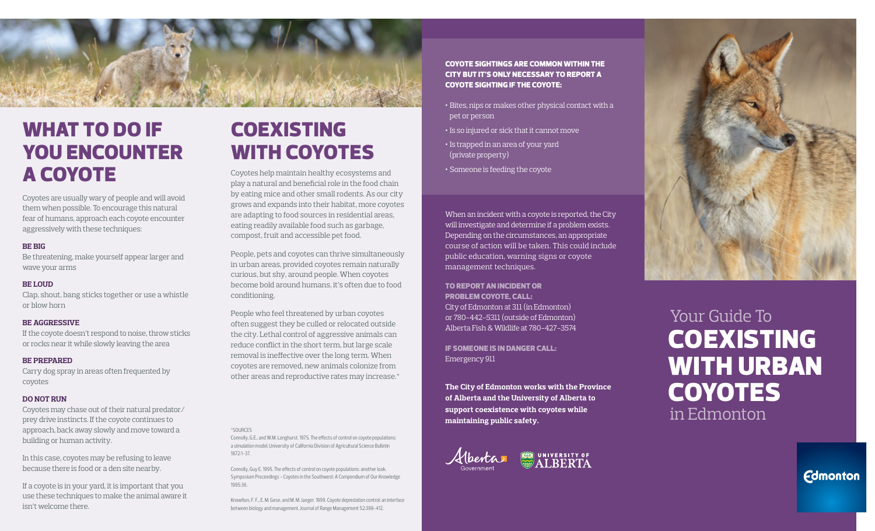

# WHAT TO DO IF YOU ENCOUNTER A COYOTE

Coyotes are usually wary of people and will avoid them when possible. To encourage this natural fear of humans, approach each coyote encounter aggressively with these techniques:

### **BE BIG**

Be threatening, make yourself appear larger and wave your arms

### **BE LOUD**

Clap, shout, bang sticks together or use a whistle or blow horn

### **BE AGGRESSIVE**

If the coyote doesn't respond to noise, throw sticks or rocks near it while slowly leaving the area

### **BE PREPARED**

Carry dog spray in areas often frequented by coyotes

### **DO NOT RUN**

Coyotes may chase out of their natural predator/ prey drive instincts. If the coyote continues to approach, back away slowly and move toward a building or human activity.

In this case, coyotes may be refusing to leave because there is food or a den site nearby.

If a coyote is in your yard, it is important that you use these techniques to make the animal aware it isn't welcome there.

# COEXISTING WITH COYOTES

Coyotes help maintain healthy ecosystems and play a natural and beneficial role in the food chain by eating mice and other small rodents. As our city grows and expands into their habitat, more coyotes are adapting to food sources in residential areas, eating readily available food such as garbage, compost, fruit and accessible pet food.

People, pets and coyotes can thrive simultaneously in urban areas, provided coyotes remain naturally curious, but shy, around people. When coyotes become bold around humans, it's often due to food conditioning.

People who feel threatened by urban coyotes often suggest they be culled or relocated outside the city. Lethal control of aggressive animals can reduce conflict in the short term, but large scale removal is ineffective over the long term. When coyotes are removed, new animals colonize from other areas and reproductive rates may increase.\*

### \*SOURCES

Connolly, G.E., and W.M. Longhurst. 1975. The effects of control on coyote populations: a simulation model. University of California Division of Agricultural Science Bulletin 1872:1-37.

Connolly, Guy E. 1995. The effects of control on coyote populations: another look. Symposium Proceedings - Coyotes in the Southwest: A Compendium of Our Knowledge 1995:36.

Knowlton, F. F., E. M. Gese, and M. M. Jaeger. 1999. Coyote depredation control: an interface between biology and management. Journal of Range Management 52:398-412.

Coyote sightings are common within the city but It's only necessary to report a coyote sighting if the coyote:

- Bites, nips or makes other physical contact with a pet or person
- Is so injured or sick that it cannot move
- Is trapped in an area of your yard (private property)
- Someone is feeding the coyote

When an incident with a coyote is reported, the City will investigate and determine if a problem exists. Depending on the circumstances, an appropriate course of action will be taken. This could include public education, warning signs or coyote management techniques.

### To report an incident or problem coyote, call:

City of Edmonton at 311 (in Edmonton) or 780-442-5311 (outside of Edmonton) Alberta Fish & Wildlife at 780-427-3574

If someone is in danger call: Emergency 911

**The City of Edmonton works with the Province of Alberta and the University of Alberta to support coexistence with coyotes while maintaining public safety.**



# Your Guide To in Edmonton **COEXISTING** WITH URBAN **COYOTES**

**Edmonton**